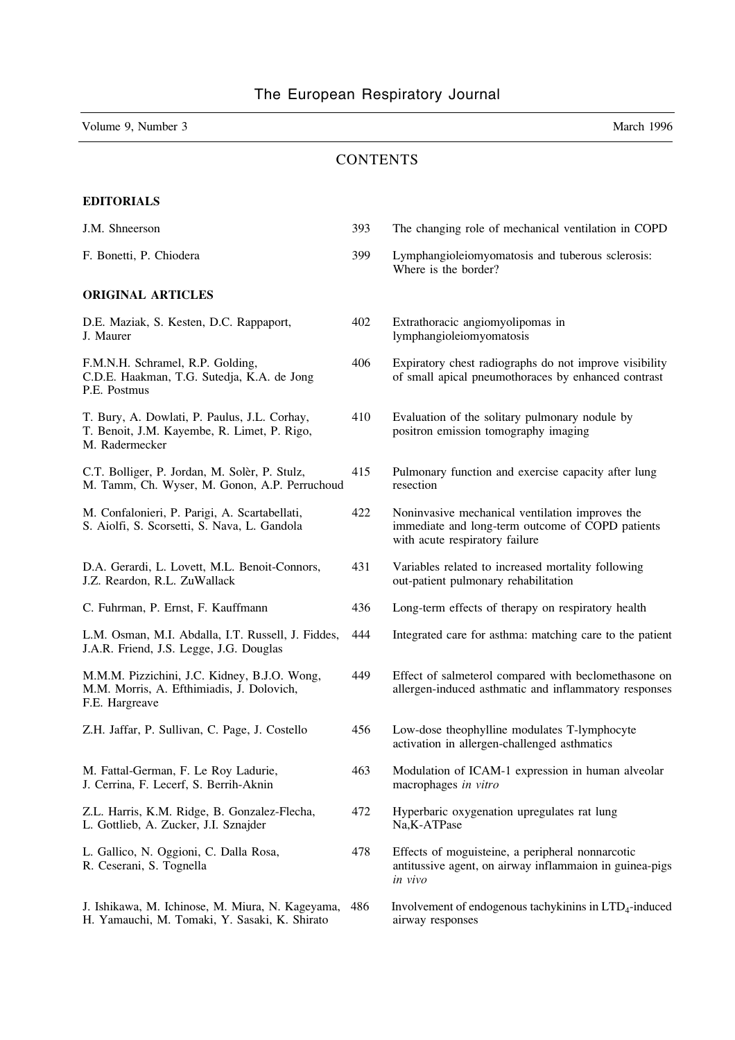## **CONTENTS**

| <b>EDITORIALS</b>                                                                                             |     |                                                                                                                                       |
|---------------------------------------------------------------------------------------------------------------|-----|---------------------------------------------------------------------------------------------------------------------------------------|
| J.M. Shneerson                                                                                                | 393 | The changing role of mechanical ventilation in COPD                                                                                   |
| F. Bonetti, P. Chiodera                                                                                       | 399 | Lymphangioleiomyomatosis and tuberous sclerosis:<br>Where is the border?                                                              |
| <b>ORIGINAL ARTICLES</b>                                                                                      |     |                                                                                                                                       |
| D.E. Maziak, S. Kesten, D.C. Rappaport,<br>J. Maurer                                                          | 402 | Extrathoracic angiomyolipomas in<br>lymphangioleiomyomatosis                                                                          |
| F.M.N.H. Schramel, R.P. Golding,<br>C.D.E. Haakman, T.G. Sutedja, K.A. de Jong<br>P.E. Postmus                | 406 | Expiratory chest radiographs do not improve visibility<br>of small apical pneumothoraces by enhanced contrast                         |
| T. Bury, A. Dowlati, P. Paulus, J.L. Corhay,<br>T. Benoit, J.M. Kayembe, R. Limet, P. Rigo,<br>M. Radermecker | 410 | Evaluation of the solitary pulmonary nodule by<br>positron emission tomography imaging                                                |
| C.T. Bolliger, P. Jordan, M. Solèr, P. Stulz,<br>M. Tamm, Ch. Wyser, M. Gonon, A.P. Perruchoud                | 415 | Pulmonary function and exercise capacity after lung<br>resection                                                                      |
| M. Confalonieri, P. Parigi, A. Scartabellati,<br>S. Aiolfi, S. Scorsetti, S. Nava, L. Gandola                 | 422 | Noninvasive mechanical ventilation improves the<br>immediate and long-term outcome of COPD patients<br>with acute respiratory failure |
| D.A. Gerardi, L. Lovett, M.L. Benoit-Connors,<br>J.Z. Reardon, R.L. ZuWallack                                 | 431 | Variables related to increased mortality following<br>out-patient pulmonary rehabilitation                                            |
| C. Fuhrman, P. Ernst, F. Kauffmann                                                                            | 436 | Long-term effects of therapy on respiratory health                                                                                    |
| L.M. Osman, M.I. Abdalla, I.T. Russell, J. Fiddes,<br>J.A.R. Friend, J.S. Legge, J.G. Douglas                 | 444 | Integrated care for asthma: matching care to the patient                                                                              |
| M.M.M. Pizzichini, J.C. Kidney, B.J.O. Wong,<br>M.M. Morris, A. Efthimiadis, J. Dolovich,<br>F.E. Hargreave   | 449 | Effect of salmeterol compared with beclomethasone on<br>allergen-induced asthmatic and inflammatory responses                         |
| Z.H. Jaffar, P. Sullivan, C. Page, J. Costello                                                                | 456 | Low-dose theophylline modulates T-lymphocyte<br>activation in allergen-challenged asthmatics                                          |
| M. Fattal-German, F. Le Roy Ladurie,<br>J. Cerrina, F. Lecerf, S. Berrih-Aknin                                | 463 | Modulation of ICAM-1 expression in human alveolar<br>macrophages in vitro                                                             |
| Z.L. Harris, K.M. Ridge, B. Gonzalez-Flecha,<br>L. Gottlieb, A. Zucker, J.I. Sznajder                         | 472 | Hyperbaric oxygenation upregulates rat lung<br>Na,K-ATPase                                                                            |
| L. Gallico, N. Oggioni, C. Dalla Rosa,<br>R. Ceserani, S. Tognella                                            | 478 | Effects of moguisteine, a peripheral nonnarcotic<br>antitussive agent, on airway inflammaion in guinea-pigs<br>in vivo                |
| J. Ishikawa, M. Ichinose, M. Miura, N. Kageyama,<br>H. Yamauchi, M. Tomaki, Y. Sasaki, K. Shirato             | 486 | Involvement of endogenous tachykinins in LTD <sub>4</sub> -induced<br>airway responses                                                |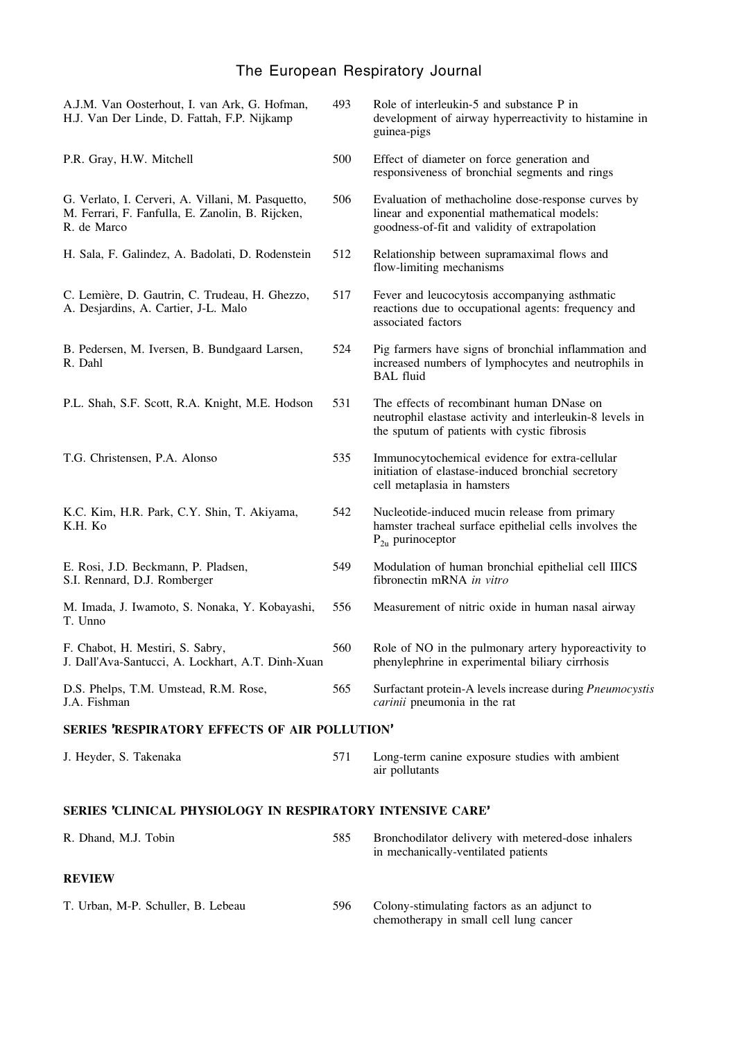## The European Respiratory Journal

| A.J.M. Van Oosterhout, I. van Ark, G. Hofman,<br>H.J. Van Der Linde, D. Fattah, F.P. Nijkamp                         | 493 | Role of interleukin-5 and substance P in<br>development of airway hyperreactivity to histamine in<br>guinea-pigs                                     |  |  |
|----------------------------------------------------------------------------------------------------------------------|-----|------------------------------------------------------------------------------------------------------------------------------------------------------|--|--|
| P.R. Gray, H.W. Mitchell                                                                                             | 500 | Effect of diameter on force generation and<br>responsiveness of bronchial segments and rings                                                         |  |  |
| G. Verlato, I. Cerveri, A. Villani, M. Pasquetto,<br>M. Ferrari, F. Fanfulla, E. Zanolin, B. Rijcken,<br>R. de Marco | 506 | Evaluation of methacholine dose-response curves by<br>linear and exponential mathematical models:<br>goodness-of-fit and validity of extrapolation   |  |  |
| H. Sala, F. Galindez, A. Badolati, D. Rodenstein                                                                     | 512 | Relationship between supramaximal flows and<br>flow-limiting mechanisms                                                                              |  |  |
| C. Lemière, D. Gautrin, C. Trudeau, H. Ghezzo,<br>A. Desjardins, A. Cartier, J-L. Malo                               | 517 | Fever and leucocytosis accompanying asthmatic<br>reactions due to occupational agents: frequency and<br>associated factors                           |  |  |
| B. Pedersen, M. Iversen, B. Bundgaard Larsen,<br>R. Dahl                                                             | 524 | Pig farmers have signs of bronchial inflammation and<br>increased numbers of lymphocytes and neutrophils in<br><b>BAL</b> fluid                      |  |  |
| P.L. Shah, S.F. Scott, R.A. Knight, M.E. Hodson                                                                      | 531 | The effects of recombinant human DNase on<br>neutrophil elastase activity and interleukin-8 levels in<br>the sputum of patients with cystic fibrosis |  |  |
| T.G. Christensen, P.A. Alonso                                                                                        | 535 | Immunocytochemical evidence for extra-cellular<br>initiation of elastase-induced bronchial secretory<br>cell metaplasia in hamsters                  |  |  |
| K.C. Kim, H.R. Park, C.Y. Shin, T. Akiyama,<br>K.H. Ko                                                               | 542 | Nucleotide-induced mucin release from primary<br>hamster tracheal surface epithelial cells involves the<br>$P_{2u}$ purinoceptor                     |  |  |
| E. Rosi, J.D. Beckmann, P. Pladsen,<br>S.I. Rennard, D.J. Romberger                                                  | 549 | Modulation of human bronchial epithelial cell IIICS<br>fibronectin mRNA in vitro                                                                     |  |  |
| M. Imada, J. Iwamoto, S. Nonaka, Y. Kobayashi,<br>T. Unno                                                            | 556 | Measurement of nitric oxide in human nasal airway                                                                                                    |  |  |
| F. Chabot, H. Mestiri, S. Sabry,<br>J. Dall'Ava-Santucci, A. Lockhart, A.T. Dinh-Xuan                                | 560 | Role of NO in the pulmonary artery hyporeactivity to<br>phenylephrine in experimental biliary cirrhosis                                              |  |  |
| D.S. Phelps, T.M. Umstead, R.M. Rose,<br>J.A. Fishman                                                                | 565 | Surfactant protein-A levels increase during Pneumocystis<br>carinii pneumonia in the rat                                                             |  |  |
| SERIES 'RESPIRATORY EFFECTS OF AIR POLLUTION'                                                                        |     |                                                                                                                                                      |  |  |
| J. Heyder, S. Takenaka                                                                                               | 571 | Long-term canine exposure studies with ambient<br>air pollutants                                                                                     |  |  |
| SERIES 'CLINICAL PHYSIOLOGY IN RESPIRATORY INTENSIVE CARE'                                                           |     |                                                                                                                                                      |  |  |
| D. Dhond MI Tohin                                                                                                    | 505 | <b>Drappedilater delivery with material does inhalara</b>                                                                                            |  |  |

| R. Dhand, M.J. Tobin               | 585 | Bronchodilator delivery with metered-dose inhalers<br>in mechanically-ventilated patients |
|------------------------------------|-----|-------------------------------------------------------------------------------------------|
| <b>REVIEW</b>                      |     |                                                                                           |
| T. Urban, M-P. Schuller, B. Lebeau | 596 | Colony-stimulating factors as an adjunct to<br>chemotherapy in small cell lung cancer     |